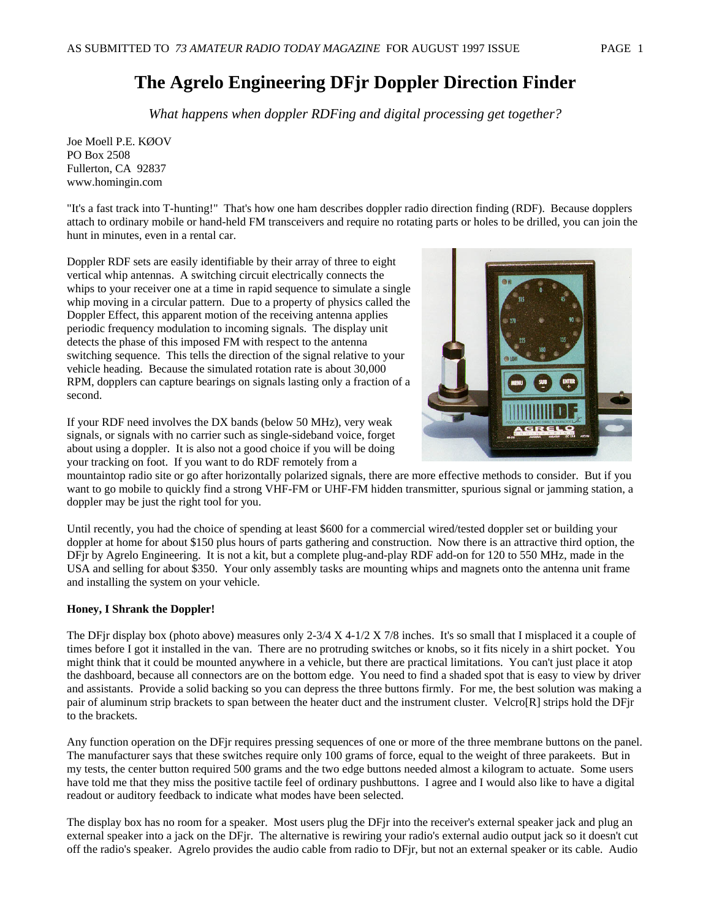# **The Agrelo Engineering DFjr Doppler Direction Finder**

*What happens when doppler RDFing and digital processing get together?* 

Joe Moell P.E. KØOV PO Box 2508 Fullerton, CA 92837 www.homingin.com

"It's a fast track into T-hunting!" That's how one ham describes doppler radio direction finding (RDF). Because dopplers attach to ordinary mobile or hand-held FM transceivers and require no rotating parts or holes to be drilled, you can join the hunt in minutes, even in a rental car.

Doppler RDF sets are easily identifiable by their array of three to eight vertical whip antennas. A switching circuit electrically connects the whips to your receiver one at a time in rapid sequence to simulate a single whip moving in a circular pattern. Due to a property of physics called the Doppler Effect, this apparent motion of the receiving antenna applies periodic frequency modulation to incoming signals. The display unit detects the phase of this imposed FM with respect to the antenna switching sequence. This tells the direction of the signal relative to your vehicle heading. Because the simulated rotation rate is about 30,000 RPM, dopplers can capture bearings on signals lasting only a fraction of a second.



If your RDF need involves the DX bands (below 50 MHz), very weak signals, or signals with no carrier such as single-sideband voice, forget about using a doppler. It is also not a good choice if you will be doing your tracking on foot. If you want to do RDF remotely from a

mountaintop radio site or go after horizontally polarized signals, there are more effective methods to consider. But if you want to go mobile to quickly find a strong VHF-FM or UHF-FM hidden transmitter, spurious signal or jamming station, a doppler may be just the right tool for you.

Until recently, you had the choice of spending at least \$600 for a commercial wired/tested doppler set or building your doppler at home for about \$150 plus hours of parts gathering and construction. Now there is an attractive third option, the DFjr by Agrelo Engineering. It is not a kit, but a complete plug-and-play RDF add-on for 120 to 550 MHz, made in the USA and selling for about \$350. Your only assembly tasks are mounting whips and magnets onto the antenna unit frame and installing the system on your vehicle.

# **Honey, I Shrank the Doppler!**

The DFjr display box (photo above) measures only 2-3/4 X 4-1/2 X 7/8 inches. It's so small that I misplaced it a couple of times before I got it installed in the van. There are no protruding switches or knobs, so it fits nicely in a shirt pocket. You might think that it could be mounted anywhere in a vehicle, but there are practical limitations. You can't just place it atop the dashboard, because all connectors are on the bottom edge. You need to find a shaded spot that is easy to view by driver and assistants. Provide a solid backing so you can depress the three buttons firmly. For me, the best solution was making a pair of aluminum strip brackets to span between the heater duct and the instrument cluster. Velcro[R] strips hold the DFjr to the brackets.

Any function operation on the DFjr requires pressing sequences of one or more of the three membrane buttons on the panel. The manufacturer says that these switches require only 100 grams of force, equal to the weight of three parakeets. But in my tests, the center button required 500 grams and the two edge buttons needed almost a kilogram to actuate. Some users have told me that they miss the positive tactile feel of ordinary pushbuttons. I agree and I would also like to have a digital readout or auditory feedback to indicate what modes have been selected.

The display box has no room for a speaker. Most users plug the DFjr into the receiver's external speaker jack and plug an external speaker into a jack on the DFjr. The alternative is rewiring your radio's external audio output jack so it doesn't cut off the radio's speaker. Agrelo provides the audio cable from radio to DFjr, but not an external speaker or its cable. Audio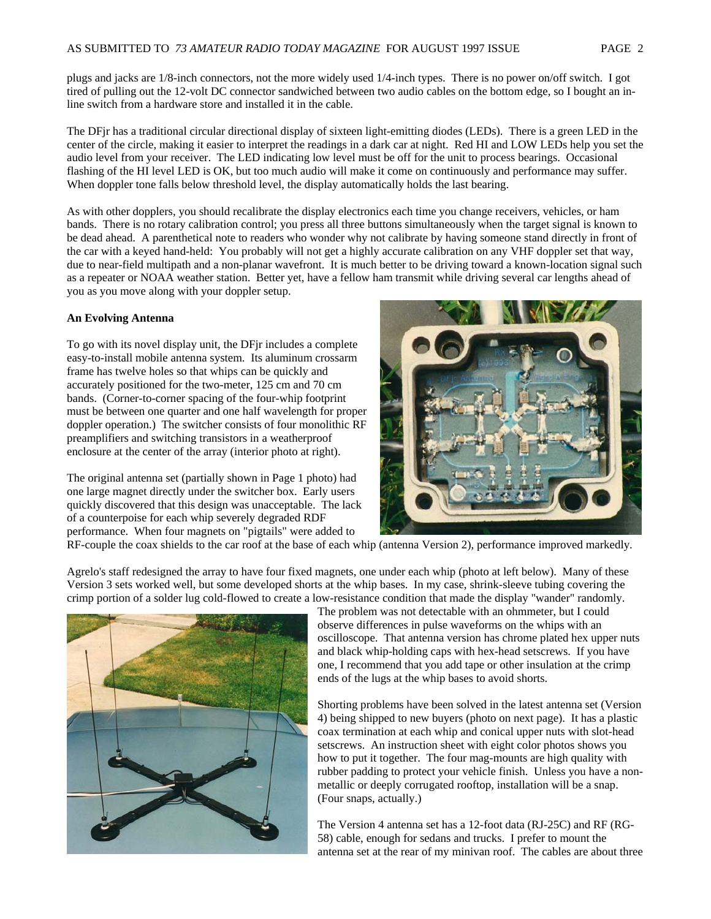plugs and jacks are 1/8-inch connectors, not the more widely used 1/4-inch types. There is no power on/off switch. I got tired of pulling out the 12-volt DC connector sandwiched between two audio cables on the bottom edge, so I bought an inline switch from a hardware store and installed it in the cable.

The DFjr has a traditional circular directional display of sixteen light-emitting diodes (LEDs). There is a green LED in the center of the circle, making it easier to interpret the readings in a dark car at night. Red HI and LOW LEDs help you set the audio level from your receiver. The LED indicating low level must be off for the unit to process bearings. Occasional flashing of the HI level LED is OK, but too much audio will make it come on continuously and performance may suffer. When doppler tone falls below threshold level, the display automatically holds the last bearing.

As with other dopplers, you should recalibrate the display electronics each time you change receivers, vehicles, or ham bands. There is no rotary calibration control; you press all three buttons simultaneously when the target signal is known to be dead ahead. A parenthetical note to readers who wonder why not calibrate by having someone stand directly in front of the car with a keyed hand-held: You probably will not get a highly accurate calibration on any VHF doppler set that way, due to near-field multipath and a non-planar wavefront. It is much better to be driving toward a known-location signal such as a repeater or NOAA weather station. Better yet, have a fellow ham transmit while driving several car lengths ahead of you as you move along with your doppler setup.

## **An Evolving Antenna**

To go with its novel display unit, the DFjr includes a complete easy-to-install mobile antenna system. Its aluminum crossarm frame has twelve holes so that whips can be quickly and accurately positioned for the two-meter, 125 cm and 70 cm bands. (Corner-to-corner spacing of the four-whip footprint must be between one quarter and one half wavelength for proper doppler operation.) The switcher consists of four monolithic RF preamplifiers and switching transistors in a weatherproof enclosure at the center of the array (interior photo at right).

The original antenna set (partially shown in Page 1 photo) had one large magnet directly under the switcher box. Early users quickly discovered that this design was unacceptable. The lack of a counterpoise for each whip severely degraded RDF performance. When four magnets on "pigtails" were added to



RF-couple the coax shields to the car roof at the base of each whip (antenna Version 2), performance improved markedly.

Agrelo's staff redesigned the array to have four fixed magnets, one under each whip (photo at left below). Many of these Version 3 sets worked well, but some developed shorts at the whip bases. In my case, shrink-sleeve tubing covering the crimp portion of a solder lug cold-flowed to create a low-resistance condition that made the display "wander" randomly.



The problem was not detectable with an ohmmeter, but I could observe differences in pulse waveforms on the whips with an oscilloscope. That antenna version has chrome plated hex upper nuts and black whip-holding caps with hex-head setscrews. If you have one, I recommend that you add tape or other insulation at the crimp ends of the lugs at the whip bases to avoid shorts.

Shorting problems have been solved in the latest antenna set (Version 4) being shipped to new buyers (photo on next page). It has a plastic coax termination at each whip and conical upper nuts with slot-head setscrews. An instruction sheet with eight color photos shows you how to put it together. The four mag-mounts are high quality with rubber padding to protect your vehicle finish. Unless you have a nonmetallic or deeply corrugated rooftop, installation will be a snap. (Four snaps, actually.)

The Version 4 antenna set has a 12-foot data (RJ-25C) and RF (RG-58) cable, enough for sedans and trucks. I prefer to mount the antenna set at the rear of my minivan roof. The cables are about three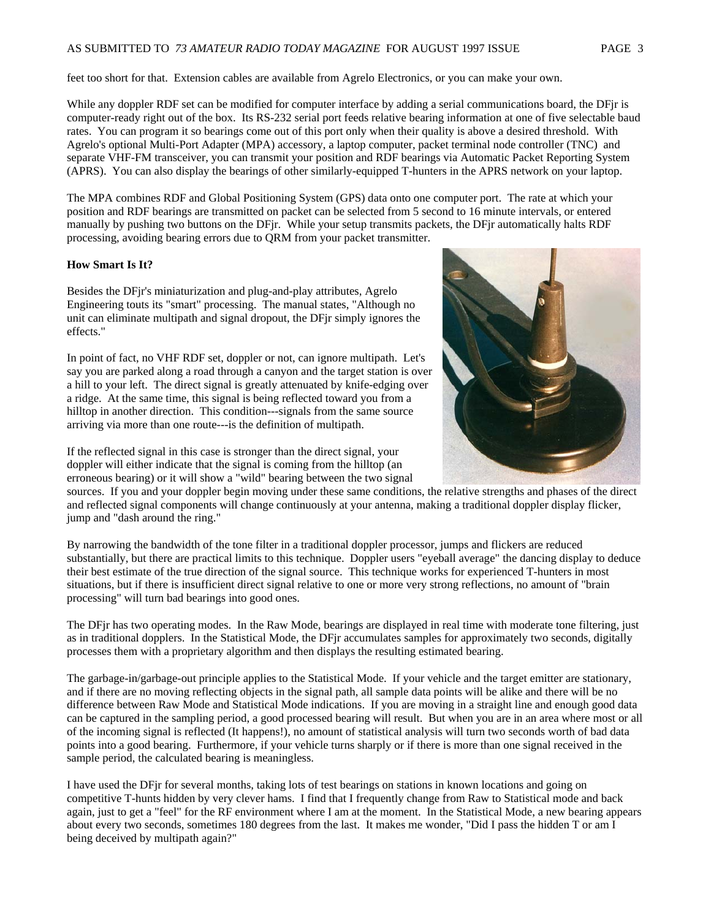# AS SUBMITTED TO *73 AMATEUR RADIO TODAY MAGAZINE* FOR AUGUST 1997 ISSUE PAGE 3

While any doppler RDF set can be modified for computer interface by adding a serial communications board, the DFir is computer-ready right out of the box. Its RS-232 serial port feeds relative bearing information at one of five selectable baud rates. You can program it so bearings come out of this port only when their quality is above a desired threshold. With Agrelo's optional Multi-Port Adapter (MPA) accessory, a laptop computer, packet terminal node controller (TNC) and separate VHF-FM transceiver, you can transmit your position and RDF bearings via Automatic Packet Reporting System (APRS). You can also display the bearings of other similarly-equipped T-hunters in the APRS network on your laptop.

The MPA combines RDF and Global Positioning System (GPS) data onto one computer port. The rate at which your position and RDF bearings are transmitted on packet can be selected from 5 second to 16 minute intervals, or entered manually by pushing two buttons on the DFjr. While your setup transmits packets, the DFjr automatically halts RDF processing, avoiding bearing errors due to QRM from your packet transmitter.

## **How Smart Is It?**

Besides the DFjr's miniaturization and plug-and-play attributes, Agrelo Engineering touts its "smart" processing. The manual states, "Although no unit can eliminate multipath and signal dropout, the DFjr simply ignores the effects."

In point of fact, no VHF RDF set, doppler or not, can ignore multipath. Let's say you are parked along a road through a canyon and the target station is over a hill to your left. The direct signal is greatly attenuated by knife-edging over a ridge. At the same time, this signal is being reflected toward you from a hilltop in another direction. This condition---signals from the same source arriving via more than one route---is the definition of multipath.



If the reflected signal in this case is stronger than the direct signal, your doppler will either indicate that the signal is coming from the hilltop (an erroneous bearing) or it will show a "wild" bearing between the two signal

sources. If you and your doppler begin moving under these same conditions, the relative strengths and phases of the direct and reflected signal components will change continuously at your antenna, making a traditional doppler display flicker, jump and "dash around the ring."

By narrowing the bandwidth of the tone filter in a traditional doppler processor, jumps and flickers are reduced substantially, but there are practical limits to this technique. Doppler users "eyeball average" the dancing display to deduce their best estimate of the true direction of the signal source. This technique works for experienced T-hunters in most situations, but if there is insufficient direct signal relative to one or more very strong reflections, no amount of "brain processing" will turn bad bearings into good ones.

The DFjr has two operating modes. In the Raw Mode, bearings are displayed in real time with moderate tone filtering, just as in traditional dopplers. In the Statistical Mode, the DFjr accumulates samples for approximately two seconds, digitally processes them with a proprietary algorithm and then displays the resulting estimated bearing.

The garbage-in/garbage-out principle applies to the Statistical Mode. If your vehicle and the target emitter are stationary, and if there are no moving reflecting objects in the signal path, all sample data points will be alike and there will be no difference between Raw Mode and Statistical Mode indications. If you are moving in a straight line and enough good data can be captured in the sampling period, a good processed bearing will result. But when you are in an area where most or all of the incoming signal is reflected (It happens!), no amount of statistical analysis will turn two seconds worth of bad data points into a good bearing. Furthermore, if your vehicle turns sharply or if there is more than one signal received in the sample period, the calculated bearing is meaningless.

I have used the DFjr for several months, taking lots of test bearings on stations in known locations and going on competitive T-hunts hidden by very clever hams. I find that I frequently change from Raw to Statistical mode and back again, just to get a "feel" for the RF environment where I am at the moment. In the Statistical Mode, a new bearing appears about every two seconds, sometimes 180 degrees from the last. It makes me wonder, "Did I pass the hidden T or am I being deceived by multipath again?"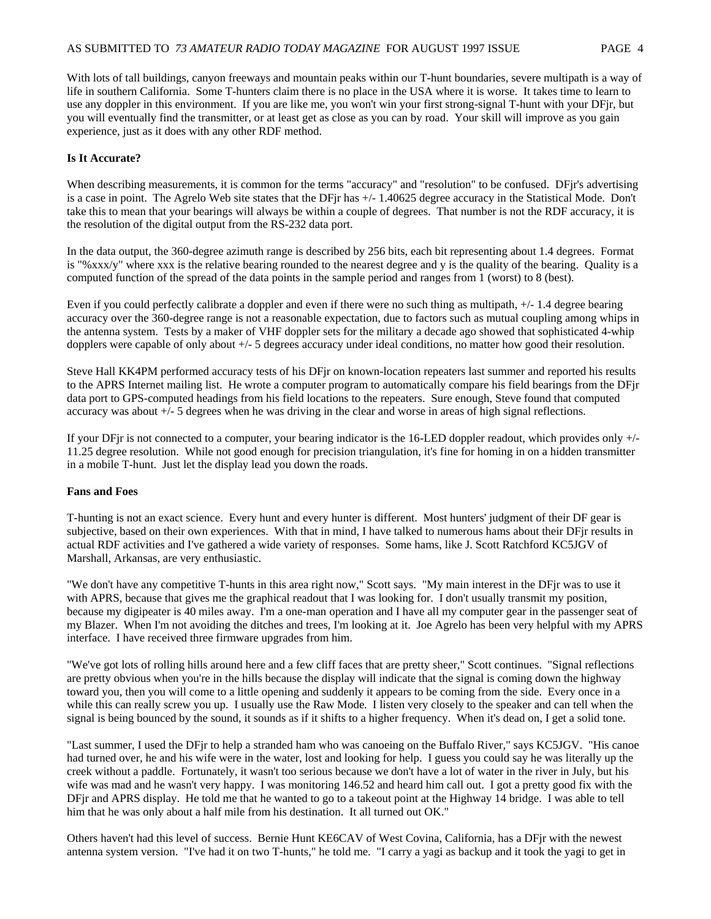With lots of tall buildings, canyon freeways and mountain peaks within our T-hunt boundaries, severe multipath is a way of life in southern California. Some T-hunters claim there is no place in the USA where it is worse. It takes time to learn to use any doppler in this environment. If you are like me, you won't win your first strong-signal T-hunt with your DFjr, but you will eventually find the transmitter, or at least get as close as you can by road. Your skill will improve as you gain experience, just as it does with any other RDF method.

#### **Is It Accurate?**

When describing measurements, it is common for the terms "accuracy" and "resolution" to be confused. DFjr's advertising is a case in point. The Agrelo Web site states that the DFjr has +/- 1.40625 degree accuracy in the Statistical Mode. Don't take this to mean that your bearings will always be within a couple of degrees. That number is not the RDF accuracy, it is the resolution of the digital output from the RS-232 data port.

In the data output, the 360-degree azimuth range is described by 256 bits, each bit representing about 1.4 degrees. Format is "%xxx/y" where xxx is the relative bearing rounded to the nearest degree and y is the quality of the bearing. Quality is a computed function of the spread of the data points in the sample period and ranges from 1 (worst) to 8 (best).

Even if you could perfectly calibrate a doppler and even if there were no such thing as multipath, +/- 1.4 degree bearing accuracy over the 360-degree range is not a reasonable expectation, due to factors such as mutual coupling among whips in the antenna system. Tests by a maker of VHF doppler sets for the military a decade ago showed that sophisticated 4-whip dopplers were capable of only about +/- 5 degrees accuracy under ideal conditions, no matter how good their resolution.

Steve Hall KK4PM performed accuracy tests of his DFjr on known-location repeaters last summer and reported his results to the APRS Internet mailing list. He wrote a computer program to automatically compare his field bearings from the DFjr data port to GPS-computed headings from his field locations to the repeaters. Sure enough, Steve found that computed accuracy was about +/- 5 degrees when he was driving in the clear and worse in areas of high signal reflections.

If your DFjr is not connected to a computer, your bearing indicator is the 16-LED doppler readout, which provides only +/- 11.25 degree resolution. While not good enough for precision triangulation, it's fine for homing in on a hidden transmitter in a mobile T-hunt. Just let the display lead you down the roads.

#### **Fans and Foes**

T-hunting is not an exact science. Every hunt and every hunter is different. Most hunters' judgment of their DF gear is subjective, based on their own experiences. With that in mind, I have talked to numerous hams about their DFjr results in actual RDF activities and I've gathered a wide variety of responses. Some hams, like J. Scott Ratchford KC5JGV of Marshall, Arkansas, are very enthusiastic.

"We don't have any competitive T-hunts in this area right now," Scott says. "My main interest in the DFjr was to use it with APRS, because that gives me the graphical readout that I was looking for. I don't usually transmit my position, because my digipeater is 40 miles away. I'm a one-man operation and I have all my computer gear in the passenger seat of my Blazer. When I'm not avoiding the ditches and trees, I'm looking at it. Joe Agrelo has been very helpful with my APRS interface. I have received three firmware upgrades from him.

"We've got lots of rolling hills around here and a few cliff faces that are pretty sheer," Scott continues. "Signal reflections are pretty obvious when you're in the hills because the display will indicate that the signal is coming down the highway toward you, then you will come to a little opening and suddenly it appears to be coming from the side. Every once in a while this can really screw you up. I usually use the Raw Mode. I listen very closely to the speaker and can tell when the signal is being bounced by the sound, it sounds as if it shifts to a higher frequency. When it's dead on, I get a solid tone.

"Last summer, I used the DFjr to help a stranded ham who was canoeing on the Buffalo River," says KC5JGV. "His canoe had turned over, he and his wife were in the water, lost and looking for help. I guess you could say he was literally up the creek without a paddle. Fortunately, it wasn't too serious because we don't have a lot of water in the river in July, but his wife was mad and he wasn't very happy. I was monitoring 146.52 and heard him call out. I got a pretty good fix with the DFjr and APRS display. He told me that he wanted to go to a takeout point at the Highway 14 bridge. I was able to tell him that he was only about a half mile from his destination. It all turned out OK."

Others haven't had this level of success. Bernie Hunt KE6CAV of West Covina, California, has a DFjr with the newest antenna system version. "I've had it on two T-hunts," he told me. "I carry a yagi as backup and it took the yagi to get in